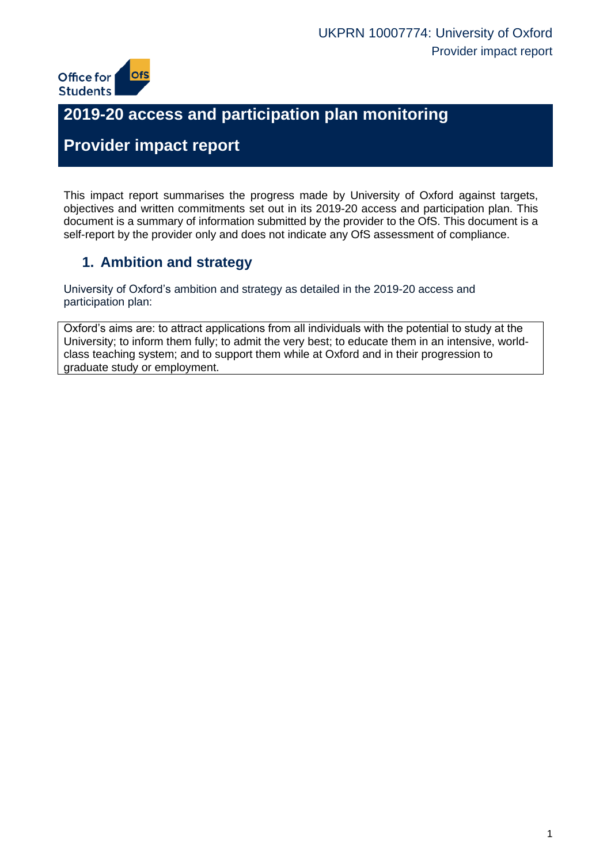

# **2019-20 access and participation plan monitoring**

# **Provider impact report**

This impact report summarises the progress made by University of Oxford against targets, objectives and written commitments set out in its 2019-20 access and participation plan. This document is a summary of information submitted by the provider to the OfS. This document is a self-report by the provider only and does not indicate any OfS assessment of compliance.

## **1. Ambition and strategy**

University of Oxford's ambition and strategy as detailed in the 2019-20 access and participation plan:

Oxford's aims are: to attract applications from all individuals with the potential to study at the University; to inform them fully; to admit the very best; to educate them in an intensive, worldclass teaching system; and to support them while at Oxford and in their progression to graduate study or employment.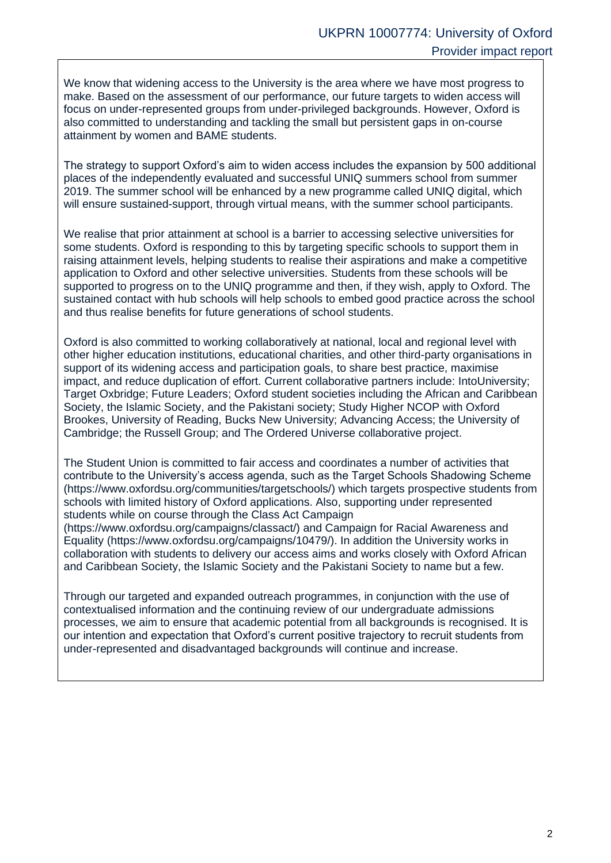We know that widening access to the University is the area where we have most progress to make. Based on the assessment of our performance, our future targets to widen access will focus on under-represented groups from under-privileged backgrounds. However, Oxford is also committed to understanding and tackling the small but persistent gaps in on-course attainment by women and BAME students.

The strategy to support Oxford's aim to widen access includes the expansion by 500 additional places of the independently evaluated and successful UNIQ summers school from summer 2019. The summer school will be enhanced by a new programme called UNIQ digital, which will ensure sustained-support, through virtual means, with the summer school participants.

We realise that prior attainment at school is a barrier to accessing selective universities for some students. Oxford is responding to this by targeting specific schools to support them in raising attainment levels, helping students to realise their aspirations and make a competitive application to Oxford and other selective universities. Students from these schools will be supported to progress on to the UNIQ programme and then, if they wish, apply to Oxford. The sustained contact with hub schools will help schools to embed good practice across the school and thus realise benefits for future generations of school students.

Oxford is also committed to working collaboratively at national, local and regional level with other higher education institutions, educational charities, and other third-party organisations in support of its widening access and participation goals, to share best practice, maximise impact, and reduce duplication of effort. Current collaborative partners include: IntoUniversity; Target Oxbridge; Future Leaders; Oxford student societies including the African and Caribbean Society, the Islamic Society, and the Pakistani society; Study Higher NCOP with Oxford Brookes, University of Reading, Bucks New University; Advancing Access; the University of Cambridge; the Russell Group; and The Ordered Universe collaborative project.

The Student Union is committed to fair access and coordinates a number of activities that contribute to the University's access agenda, such as the Target Schools Shadowing Scheme (https://www.oxfordsu.org/communities/targetschools/) which targets prospective students from schools with limited history of Oxford applications. Also, supporting under represented students while on course through the Class Act Campaign

(https://www.oxfordsu.org/campaigns/classact/) and Campaign for Racial Awareness and Equality (https://www.oxfordsu.org/campaigns/10479/). In addition the University works in collaboration with students to delivery our access aims and works closely with Oxford African and Caribbean Society, the Islamic Society and the Pakistani Society to name but a few.

Through our targeted and expanded outreach programmes, in conjunction with the use of contextualised information and the continuing review of our undergraduate admissions processes, we aim to ensure that academic potential from all backgrounds is recognised. It is our intention and expectation that Oxford's current positive trajectory to recruit students from under-represented and disadvantaged backgrounds will continue and increase.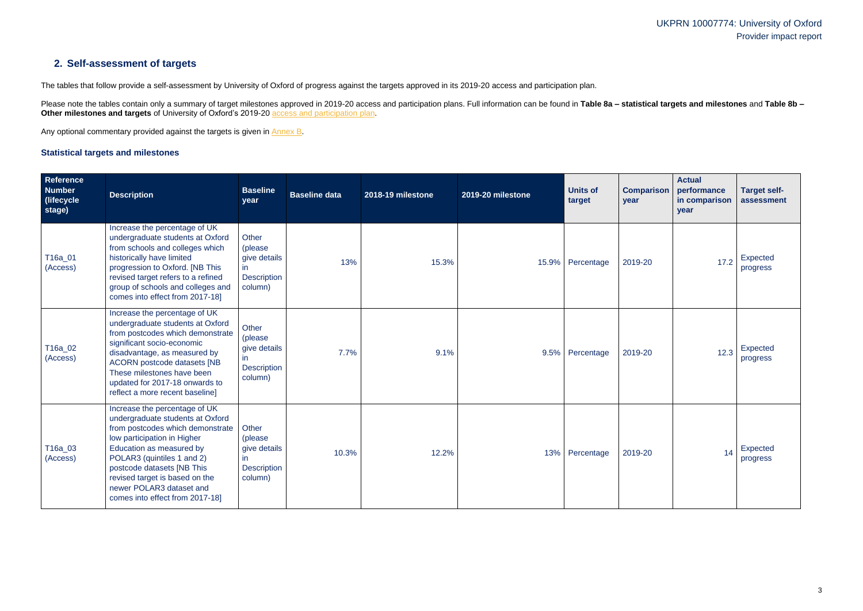## UKPRN 10007774: University of Oxford Provider impact report

## **2. Self-assessment of targets**

The tables that follow provide a self-assessment by University of Oxford of progress against the targets approved in its 2019-20 access and participation plan.

Please note the tables contain only a summary of target milestones approved in 2019-20 access and participation plans. Full information can be found in Table 8a - statistical targets and milestones and Table 8b -**Other milestones and targets** of University of Oxford's 2019-20 [access and participation plan.](https://www.officeforstudents.org.uk/advice-and-guidance/the-register/search-for-access-and-participation-plans/#/AccessPlans/)

Any optional commentary provided against the targets is given in [Annex B.](#page-8-0)

#### <span id="page-2-0"></span>**Statistical targets and milestones**

| Reference<br><b>Number</b><br>(lifecycle)<br>stage) | <b>Description</b>                                                                                                                                                                                                                                                                                                            | <b>Baseline</b><br>year                                                  | <b>Baseline data</b> | 2018-19 milestone | 2019-20 milestone | <b>Units of</b><br>target | <b>Comparison</b><br>year | <b>Actual</b><br>performance<br>in comparison<br>year | <b>Target self-</b><br>assessment |
|-----------------------------------------------------|-------------------------------------------------------------------------------------------------------------------------------------------------------------------------------------------------------------------------------------------------------------------------------------------------------------------------------|--------------------------------------------------------------------------|----------------------|-------------------|-------------------|---------------------------|---------------------------|-------------------------------------------------------|-----------------------------------|
| T16a_01<br>(Access)                                 | Increase the percentage of UK<br>undergraduate students at Oxford<br>from schools and colleges which<br>historically have limited<br>progression to Oxford. [NB This<br>revised target refers to a refined<br>group of schools and colleges and<br>comes into effect from 2017-18]                                            | Other<br>(please<br>give details<br>in.<br><b>Description</b><br>column) | 13%                  | 15.3%             |                   | 15.9% Percentage          | 2019-20                   | 17.2                                                  | Expected<br>progress              |
| T16a_02<br>(Access)                                 | Increase the percentage of UK<br>undergraduate students at Oxford<br>from postcodes which demonstrate<br>significant socio-economic<br>disadvantage, as measured by<br><b>ACORN</b> postcode datasets [NB<br>These milestones have been<br>updated for 2017-18 onwards to<br>reflect a more recent baseline]                  | <b>Other</b><br>(please<br>give details<br><b>Description</b><br>column) | 7.7%                 | 9.1%              |                   | 9.5% Percentage           | 2019-20                   | 12.3                                                  | Expected<br>progress              |
| T16a_03<br>(Access)                                 | Increase the percentage of UK<br>undergraduate students at Oxford<br>from postcodes which demonstrate<br>low participation in Higher<br>Education as measured by<br>POLAR3 (quintiles 1 and 2)<br>postcode datasets [NB This<br>revised target is based on the<br>newer POLAR3 dataset and<br>comes into effect from 2017-18] | Other<br>(please<br>give details<br>in.<br><b>Description</b><br>column) | 10.3%                | 12.2%             | 13%               | Percentage                | 2019-20                   | 14                                                    | Expected<br>progress              |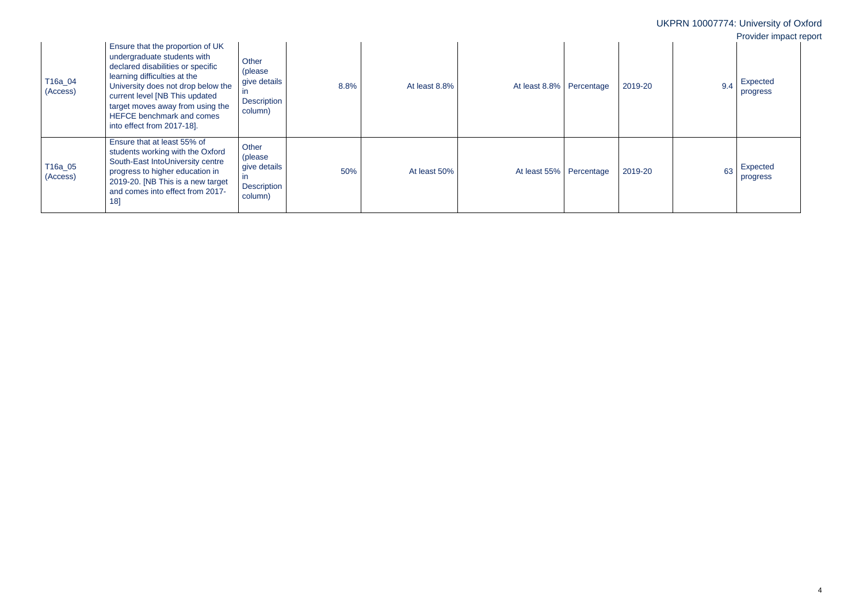|                     |                                                                                                                                                                                                                                                                                                             |                                                                                   |      |               |                            |         | UKPRN 10007774: University of Oxford | Provider impact report |  |
|---------------------|-------------------------------------------------------------------------------------------------------------------------------------------------------------------------------------------------------------------------------------------------------------------------------------------------------------|-----------------------------------------------------------------------------------|------|---------------|----------------------------|---------|--------------------------------------|------------------------|--|
| T16a_04<br>(Access) | Ensure that the proportion of UK<br>undergraduate students with<br>declared disabilities or specific<br>learning difficulties at the<br>University does not drop below the<br>current level [NB This updated<br>target moves away from using the<br>HEFCE benchmark and comes<br>into effect from 2017-18]. | Other<br>(please<br>give details<br>$\mathsf{I}$<br><b>Description</b><br>column) | 8.8% | At least 8.8% | At least 8.8%   Percentage | 2019-20 | 9.4                                  | Expected<br>progress   |  |
| T16a_05<br>(Access) | Ensure that at least 55% of<br>students working with the Oxford<br>South-East IntoUniversity centre<br>progress to higher education in<br>2019-20. [NB This is a new target<br>and comes into effect from 2017-<br>18]                                                                                      | Other<br>(please<br>give details<br>in.<br><b>Description</b><br>column)          | 50%  | At least 50%  | At least 55% Percentage    | 2019-20 | 63                                   | Expected<br>progress   |  |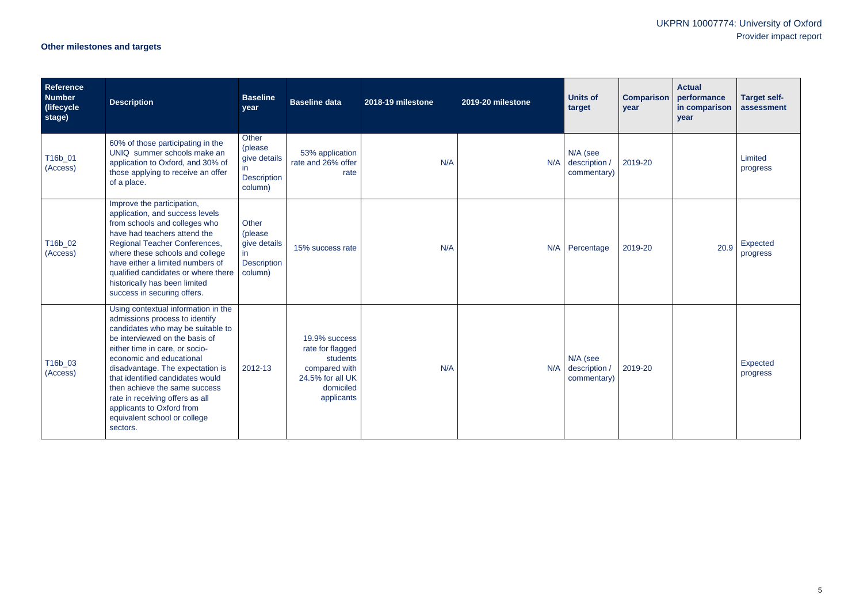# UKPRN 10007774: University of Oxford Provider impact report

# **Other milestones and targets**

| <b>Reference</b><br><b>Number</b><br>(lifecycle)<br>stage) | <b>Description</b>                                                                                                                                                                                                                                                                                                                                                                                                              | <b>Baseline</b><br>year                                                  | <b>Baseline data</b>                                                                                          | 2018-19 milestone | 2019-20 milestone | <b>Units of</b><br>target                | <b>Comparison</b><br>year | <b>Actual</b><br>performance<br>in comparison<br>year | <b>Target self-</b><br>assessment |
|------------------------------------------------------------|---------------------------------------------------------------------------------------------------------------------------------------------------------------------------------------------------------------------------------------------------------------------------------------------------------------------------------------------------------------------------------------------------------------------------------|--------------------------------------------------------------------------|---------------------------------------------------------------------------------------------------------------|-------------------|-------------------|------------------------------------------|---------------------------|-------------------------------------------------------|-----------------------------------|
| T16b_01<br>(Access)                                        | 60% of those participating in the<br>UNIQ summer schools make an<br>application to Oxford, and 30% of<br>those applying to receive an offer<br>of a place.                                                                                                                                                                                                                                                                      | Other<br>(please<br>give details<br>in.<br><b>Description</b><br>column) | 53% application<br>rate and 26% offer<br>rate                                                                 | N/A               | N/A               | N/A (see<br>description /<br>commentary) | 2019-20                   |                                                       | Limited<br>progress               |
| T16b_02<br>(Access)                                        | Improve the participation,<br>application, and success levels<br>from schools and colleges who<br>have had teachers attend the<br>Regional Teacher Conferences,<br>where these schools and college<br>have either a limited numbers of<br>qualified candidates or where there<br>historically has been limited<br>success in securing offers.                                                                                   | Other<br>(please<br>give details<br>in<br><b>Description</b><br>column)  | 15% success rate                                                                                              | N/A               |                   | N/A Percentage                           | 2019-20                   | 20.9                                                  | Expected<br>progress              |
| T16b_03<br>(Access)                                        | Using contextual information in the<br>admissions process to identify<br>candidates who may be suitable to<br>be interviewed on the basis of<br>either time in care, or socio-<br>economic and educational<br>disadvantage. The expectation is<br>that identified candidates would<br>then achieve the same success<br>rate in receiving offers as all<br>applicants to Oxford from<br>equivalent school or college<br>sectors. | 2012-13                                                                  | 19.9% success<br>rate for flagged<br>students<br>compared with<br>24.5% for all UK<br>domiciled<br>applicants | N/A               | N/A               | N/A (see<br>description /<br>commentary) | 2019-20                   |                                                       | Expected<br>progress              |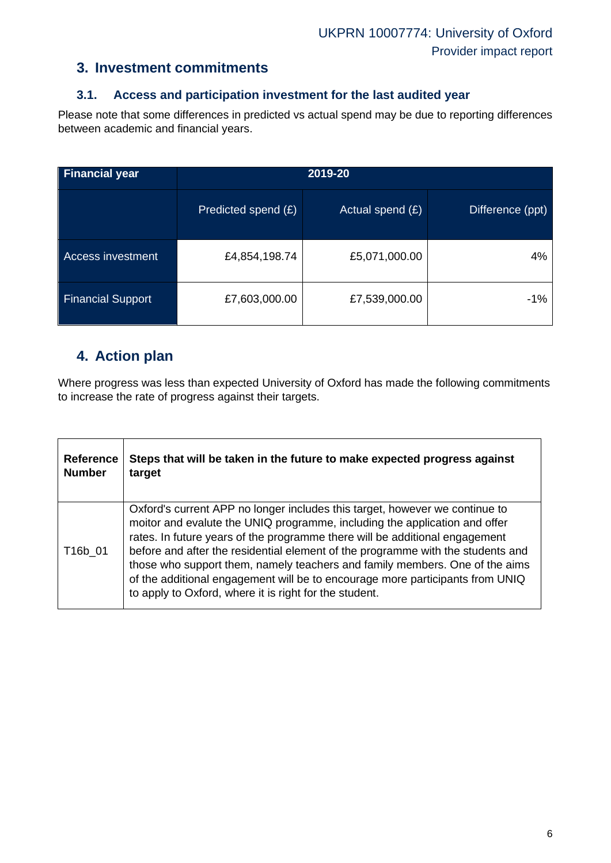## **3. Investment commitments**

#### **3.1. Access and participation investment for the last audited year**

Please note that some differences in predicted vs actual spend may be due to reporting differences between academic and financial years.

| Financial year           | 2019-20             |                    |                  |  |  |  |
|--------------------------|---------------------|--------------------|------------------|--|--|--|
|                          | Predicted spend (£) | Actual spend $(E)$ | Difference (ppt) |  |  |  |
| <b>Access investment</b> | £4,854,198.74       | £5,071,000.00      | 4%               |  |  |  |
| <b>Financial Support</b> | £7,603,000.00       | £7,539,000.00      | -1%              |  |  |  |

## **4. Action plan**

Where progress was less than expected University of Oxford has made the following commitments to increase the rate of progress against their targets.

| <b>Reference</b> | Steps that will be taken in the future to make expected progress against                                                                                                                                                                                                                                                                                                                                                                                                                                                                              |
|------------------|-------------------------------------------------------------------------------------------------------------------------------------------------------------------------------------------------------------------------------------------------------------------------------------------------------------------------------------------------------------------------------------------------------------------------------------------------------------------------------------------------------------------------------------------------------|
| <b>Number</b>    | target                                                                                                                                                                                                                                                                                                                                                                                                                                                                                                                                                |
| T16b_01          | Oxford's current APP no longer includes this target, however we continue to<br>moitor and evalute the UNIQ programme, including the application and offer<br>rates. In future years of the programme there will be additional engagement<br>before and after the residential element of the programme with the students and<br>those who support them, namely teachers and family members. One of the aims<br>of the additional engagement will be to encourage more participants from UNIQ<br>to apply to Oxford, where it is right for the student. |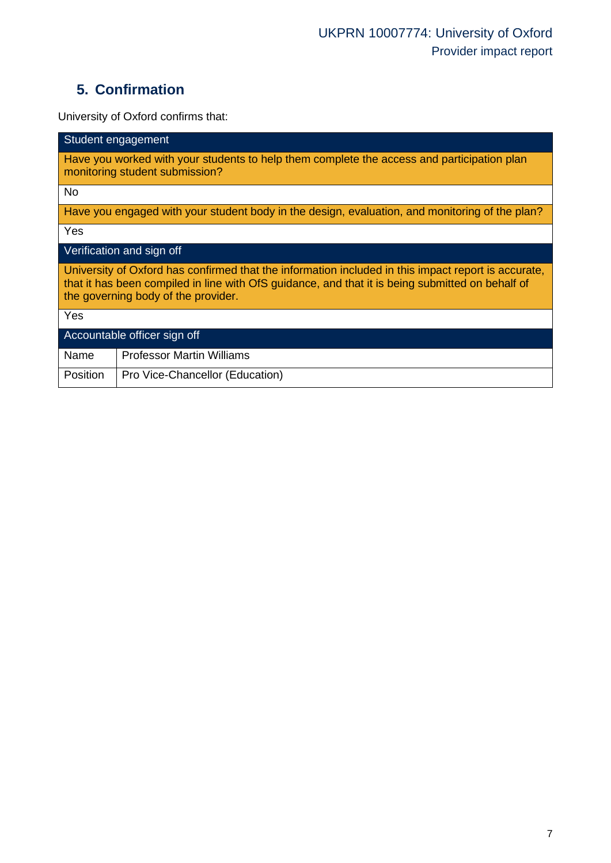# **5. Confirmation**

University of Oxford confirms that:

| Student engagement                                                                                                                                                                                                                             |  |  |  |  |  |
|------------------------------------------------------------------------------------------------------------------------------------------------------------------------------------------------------------------------------------------------|--|--|--|--|--|
| Have you worked with your students to help them complete the access and participation plan<br>monitoring student submission?                                                                                                                   |  |  |  |  |  |
| <b>No</b>                                                                                                                                                                                                                                      |  |  |  |  |  |
| Have you engaged with your student body in the design, evaluation, and monitoring of the plan?                                                                                                                                                 |  |  |  |  |  |
| Yes                                                                                                                                                                                                                                            |  |  |  |  |  |
| Verification and sign off                                                                                                                                                                                                                      |  |  |  |  |  |
| University of Oxford has confirmed that the information included in this impact report is accurate,<br>that it has been compiled in line with OfS guidance, and that it is being submitted on behalf of<br>the governing body of the provider. |  |  |  |  |  |
| Yes                                                                                                                                                                                                                                            |  |  |  |  |  |
| Accountable officer sign off                                                                                                                                                                                                                   |  |  |  |  |  |
| <b>Professor Martin Williams</b><br>Name                                                                                                                                                                                                       |  |  |  |  |  |
| Position<br>Pro Vice-Chancellor (Education)                                                                                                                                                                                                    |  |  |  |  |  |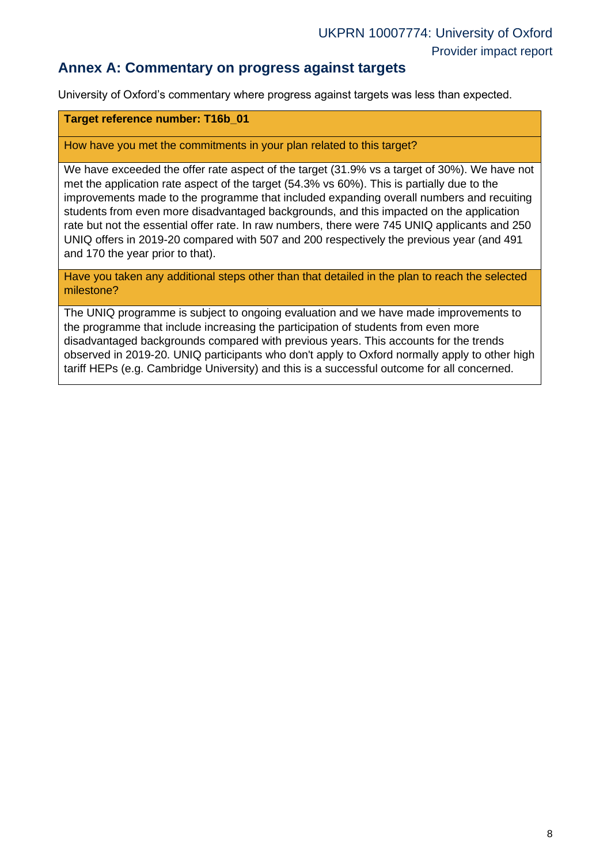## **Annex A: Commentary on progress against targets**

University of Oxford's commentary where progress against targets was less than expected.

#### **Target reference number: T16b\_01**

#### How have you met the commitments in your plan related to this target?

We have exceeded the offer rate aspect of the target (31.9% vs a target of 30%). We have not met the application rate aspect of the target (54.3% vs 60%). This is partially due to the improvements made to the programme that included expanding overall numbers and recuiting students from even more disadvantaged backgrounds, and this impacted on the application rate but not the essential offer rate. In raw numbers, there were 745 UNIQ applicants and 250 UNIQ offers in 2019-20 compared with 507 and 200 respectively the previous year (and 491 and 170 the year prior to that).

Have you taken any additional steps other than that detailed in the plan to reach the selected milestone?

The UNIQ programme is subject to ongoing evaluation and we have made improvements to the programme that include increasing the participation of students from even more disadvantaged backgrounds compared with previous years. This accounts for the trends observed in 2019-20. UNIQ participants who don't apply to Oxford normally apply to other high tariff HEPs (e.g. Cambridge University) and this is a successful outcome for all concerned.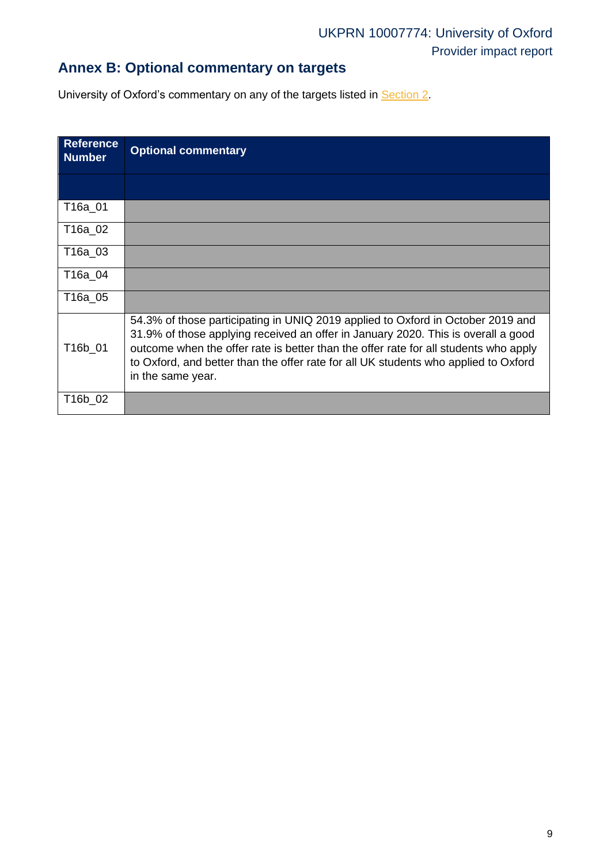# **Annex B: Optional commentary on targets**

University of Oxford's commentary on any of the targets listed in [Section 2.](#page-2-0)

<span id="page-8-0"></span>

| <b>Reference</b><br><b>Number</b> | <b>Optional commentary</b>                                                                                                                                                                                                                                                                                                                                               |
|-----------------------------------|--------------------------------------------------------------------------------------------------------------------------------------------------------------------------------------------------------------------------------------------------------------------------------------------------------------------------------------------------------------------------|
|                                   |                                                                                                                                                                                                                                                                                                                                                                          |
| T16a_01                           |                                                                                                                                                                                                                                                                                                                                                                          |
| T16a_02                           |                                                                                                                                                                                                                                                                                                                                                                          |
| T16a_03                           |                                                                                                                                                                                                                                                                                                                                                                          |
| T16a 04                           |                                                                                                                                                                                                                                                                                                                                                                          |
| T16a 05                           |                                                                                                                                                                                                                                                                                                                                                                          |
| T16b_01                           | 54.3% of those participating in UNIQ 2019 applied to Oxford in October 2019 and<br>31.9% of those applying received an offer in January 2020. This is overall a good<br>outcome when the offer rate is better than the offer rate for all students who apply<br>to Oxford, and better than the offer rate for all UK students who applied to Oxford<br>in the same year. |
| T16b_02                           |                                                                                                                                                                                                                                                                                                                                                                          |